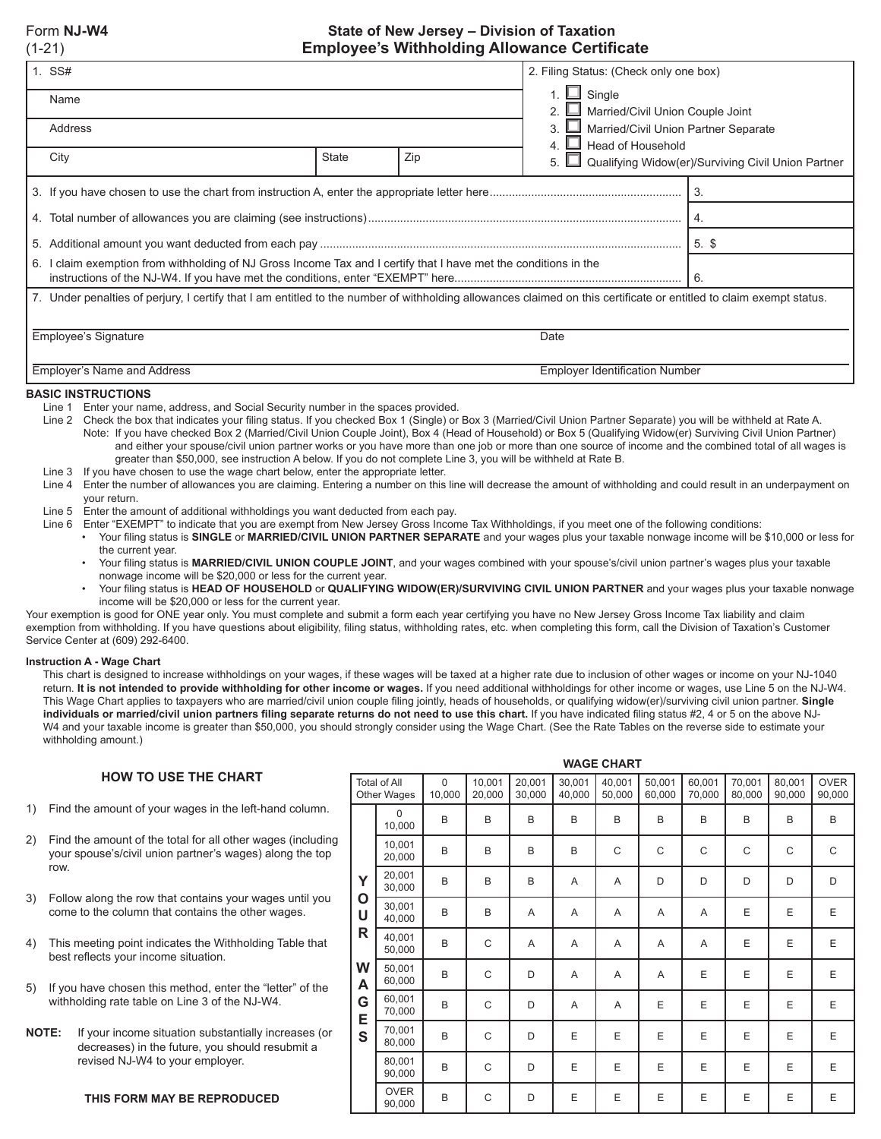## Form **NJ-W4 State of New Jersey – Division of Taxation** (1-21) **Employee's Withholding Allowance Certificate**

|      | 1. SS#                                                                                                                                                              | 2. Filing Status: (Check only one box)                                        |       |    |                                                    |  |  |  |  |  |  |
|------|---------------------------------------------------------------------------------------------------------------------------------------------------------------------|-------------------------------------------------------------------------------|-------|----|----------------------------------------------------|--|--|--|--|--|--|
|      | Name                                                                                                                                                                | 1. $\Box$ Single<br>Married/Civil Union Couple Joint                          |       |    |                                                    |  |  |  |  |  |  |
|      | Address                                                                                                                                                             | Married/Civil Union Partner Separate<br>3<br>$\blacksquare$ Head of Household |       |    |                                                    |  |  |  |  |  |  |
|      | City                                                                                                                                                                | <b>State</b>                                                                  | Zip   | 5. | Qualifying Widow(er)/Surviving Civil Union Partner |  |  |  |  |  |  |
|      |                                                                                                                                                                     |                                                                               | l 3.  |    |                                                    |  |  |  |  |  |  |
|      |                                                                                                                                                                     |                                                                               | I 4.  |    |                                                    |  |  |  |  |  |  |
|      |                                                                                                                                                                     |                                                                               | 5. \$ |    |                                                    |  |  |  |  |  |  |
| 6. I | claim exemption from withholding of NJ Gross Income Tax and I certify that I have met the conditions in the                                                         | -6.                                                                           |       |    |                                                    |  |  |  |  |  |  |
|      | 7. Under penalties of perjury, I certify that I am entitled to the number of withholding allowances claimed on this certificate or entitled to claim exempt status. |                                                                               |       |    |                                                    |  |  |  |  |  |  |
|      |                                                                                                                                                                     |                                                                               |       |    |                                                    |  |  |  |  |  |  |
|      | Employee's Signature                                                                                                                                                |                                                                               |       |    |                                                    |  |  |  |  |  |  |
|      | <b>Employer's Name and Address</b>                                                                                                                                  | <b>Employer Identification Number</b>                                         |       |    |                                                    |  |  |  |  |  |  |

#### **BASIC INSTRUCTIONS**

- Line 1 Enter your name, address, and Social Security number in the spaces provided.
- Line 2 Check the box that indicates your filing status. If you checked Box 1 (Single) or Box 3 (Married/Civil Union Partner Separate) you will be withheld at Rate A. Note: If you have checked Box 2 (Married/Civil Union Couple Joint), Box 4 (Head of Household) or Box 5 (Qualifying Widow(er) Surviving Civil Union Partner) and either your spouse/civil union partner works or you have more than one job or more than one source of income and the combined total of all wages is greater than \$50,000, see instruction A below. If you do not complete Line 3, you will be withheld at Rate B.
- Line 3 If you have chosen to use the wage chart below, enter the appropriate letter.
- Line 4 Enter the number of allowances you are claiming. Entering a number on this line will decrease the amount of withholding and could result in an underpayment on your return.
- Line 5 Enter the amount of additional withholdings you want deducted from each pay.
- Line 6 Enter "EXEMPT" to indicate that you are exempt from New Jersey Gross Income Tax Withholdings, if you meet one of the following conditions: • Your filing status is **SINGLE** or **MARRIED/CIVIL UNION PARTNER SEPARATE** and your wages plus your taxable nonwage income will be \$10,000 or less for the current year.
	- Your filing status is **MARRIED/CIVIL UNION COUPLE JOINT**, and your wages combined with your spouse's/civil union partner's wages plus your taxable nonwage income will be \$20,000 or less for the current year.
	- Your filing status is **HEAD OF HOUSEHOLD** or **QUALIFYING WIDOW(ER)/SURVIVING CIVIL UNION PARTNER** and your wages plus your taxable nonwage income will be \$20,000 or less for the current year.

Your exemption is good for ONE year only. You must complete and submit a form each year certifying you have no New Jersey Gross Income Tax liability and claim exemption from withholding. If you have questions about eligibility, filing status, withholding rates, etc. when completing this form, call the Division of Taxation's Customer Service Center at (609) 292-6400.

#### **Instruction A - Wage Chart**

This chart is designed to increase withholdings on your wages, if these wages will be taxed at a higher rate due to inclusion of other wages or income on your NJ-1040 return. **It is not intended to provide withholding for other income or wages.** If you need additional withholdings for other income or wages, use Line 5 on the NJ-W4. This Wage Chart applies to taxpayers who are married/civil union couple filing jointly, heads of households, or qualifying widow(er)/surviving civil union partner. **Single**  individuals or married/civil union partners filing separate returns do not need to use this chart. If you have indicated filing status #2, 4 or 5 on the above NJ-W4 and your taxable income is greater than \$50,000, you should strongly consider using the Wage Chart. (See the Rate Tables on the reverse side to estimate your withholding amount.)

### **HOW TO USE THE CHART**

- 1) Find the amount of your wages in the left-hand column.
- 2) Find the amount of the total for all other wages (including your spouse's/civil union partner's wages) along the top row.
- 3) Follow along the row that contains your wages until you come to the column that contains the other wages.
- 4) This meeting point indicates the Withholding Table that best reflects your income situation.
- 5) If you have chosen this method, enter the "letter" of the withholding rate table on Line 3 of the NJ-W4.
- **NOTE:** If your income situation substantially increases (or decreases) in the future, you should resubmit a revised NJ-W4 to your employer.

|        | <b>Total of All</b><br>Other Wages | $\Omega$<br>10,000 | 10,001<br>20,000 | 20,001<br>30,000 | 30,001<br>40,000 | 40,001<br>50,000 | 50,001<br>60,000 | 60,001<br>70,000 | 70,001<br>80,000 | 80,001<br>90,000 | <b>OVER</b><br>90,000 |
|--------|------------------------------------|--------------------|------------------|------------------|------------------|------------------|------------------|------------------|------------------|------------------|-----------------------|
|        | $\Omega$<br>10,000                 | B                  | B                | B                | B                | B                | B                | B                | B                | B                | B                     |
|        | 10,001<br>20,000                   | B                  | B                | B<br>B           |                  | C                | C                | C                | C                | C                | C                     |
| Y      | 20,001<br>30,000                   | B                  | B                | B<br>A           |                  | A                | D                | D                | D                | D                | D                     |
| О<br>U | 30,001<br>40,000                   | B                  | B                | A                | A                | A                | A                | Α                | E                | E                | E                     |
| R      | 40,001<br>50,000                   | B                  | C                | A                | A                | A                | A                | Α                | E                | E                | E                     |
| W<br>A | 50,001<br>60,000                   | B                  | C                | D                | A                | A                | A                | E                | E                | E                | E                     |
| G<br>E | 60,001<br>70,000                   | B                  | C                | D                | A                | A                | E                | E                | E                | E                | E                     |
| S      | 70,001<br>80,000                   | B                  | C                | D                | E                | E                | E                | E                | E                | E                | E                     |
|        | 80,001<br>90,000                   | B                  | C                | D                | E                | E                | E                | E                | E                | E                | E                     |
|        | <b>OVER</b><br>90,000              | B                  | C                | D                | E                | E                | Ε                | E                | Ε                | E                | Ε                     |

**WAGE CHART**

**THIS FORM MAY BE REPRODUCED**